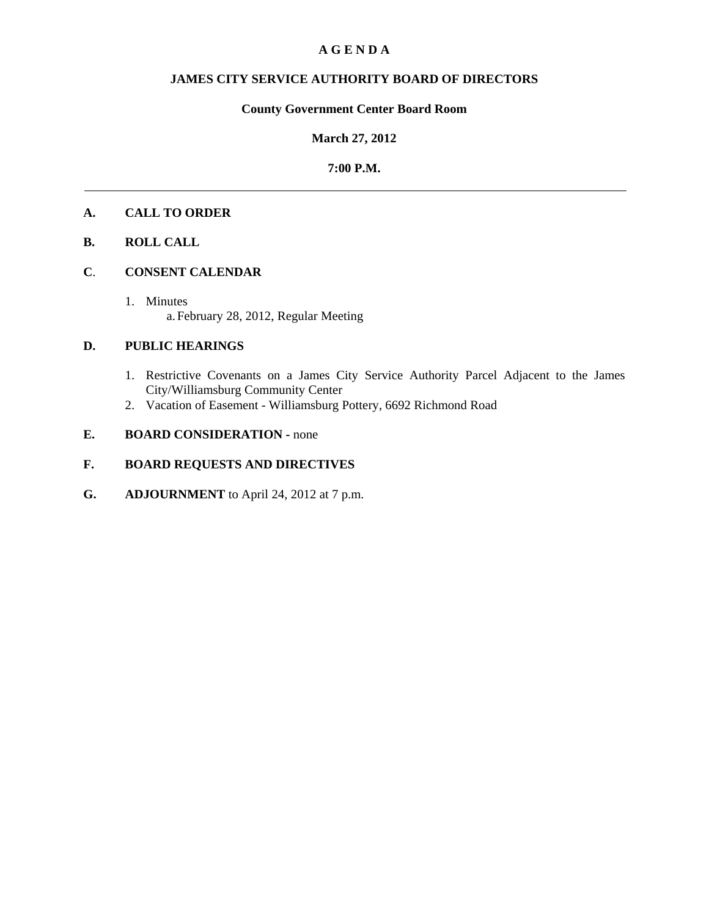## **A G E N D A**

## **JAMES CITY SERVICE AUTHORITY BOARD OF DIRECTORS**

# **County Government Center Board Room**

## **March 27, 2012**

## **7:00 P.M.**

# **A. CALL TO ORDER**

## **B. ROLL CALL**

#### **C**. **CONSENT CALENDAR**

1. Minutes a.February 28, 2012, Regular Meeting

## **D. PUBLIC HEARINGS**

- 1. Restrictive Covenants on a James City Service Authority Parcel Adjacent to the James City/Williamsburg Community Center
- 2. Vacation of Easement Williamsburg Pottery, 6692 Richmond Road

# **E. BOARD CONSIDERATION - none**

# **F. BOARD REQUESTS AND DIRECTIVES**

**G. ADJOURNMENT** to April 24, 2012 at 7 p.m.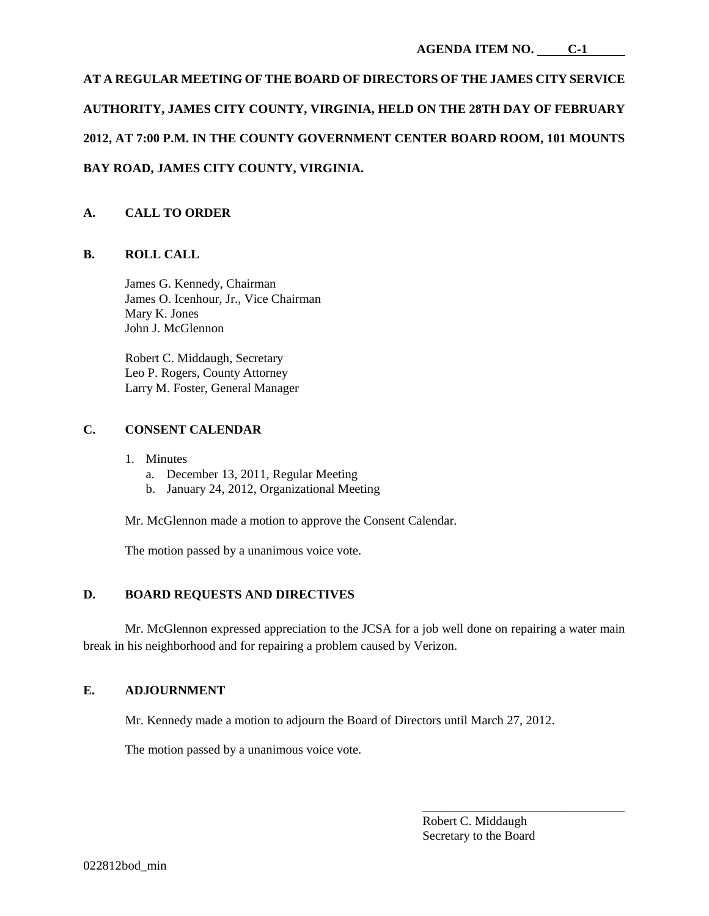# **AT A REGULAR MEETING OF THE BOARD OF DIRECTORS OF THE JAMES CITY SERVICE AUTHORITY, JAMES CITY COUNTY, VIRGINIA, HELD ON THE 28TH DAY OF FEBRUARY 2012, AT 7:00 P.M. IN THE COUNTY GOVERNMENT CENTER BOARD ROOM, 101 MOUNTS BAY ROAD, JAMES CITY COUNTY, VIRGINIA.**

# **A. CALL TO ORDER**

# **B. ROLL CALL**

James G. Kennedy, Chairman James O. Icenhour, Jr., Vice Chairman Mary K. Jones John J. McGlennon

Robert C. Middaugh, Secretary Leo P. Rogers, County Attorney Larry M. Foster, General Manager

# **C. CONSENT CALENDAR**

- 1. Minutes
	- a. December 13, 2011, Regular Meeting
	- b. January 24, 2012, Organizational Meeting

Mr. McGlennon made a motion to approve the Consent Calendar.

The motion passed by a unanimous voice vote.

# **D. BOARD REQUESTS AND DIRECTIVES**

Mr. McGlennon expressed appreciation to the JCSA for a job well done on repairing a water main break in his neighborhood and for repairing a problem caused by Verizon.

## **E. ADJOURNMENT**

Mr. Kennedy made a motion to adjourn the Board of Directors until March 27, 2012.

The motion passed by a unanimous voice vote.

Robert C. Middaugh Secretary to the Board

\_\_\_\_\_\_\_\_\_\_\_\_\_\_\_\_\_\_\_\_\_\_\_\_\_\_\_\_\_\_\_\_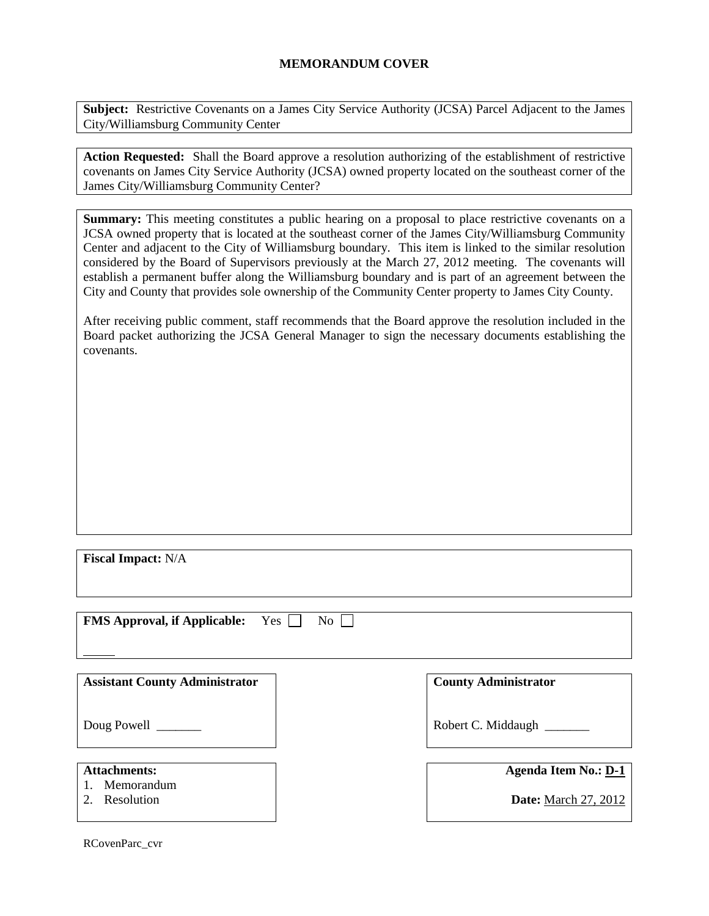## **MEMORANDUM COVER**

**Subject:** Restrictive Covenants on a James City Service Authority (JCSA) Parcel Adjacent to the James City/Williamsburg Community Center

**Action Requested:** Shall the Board approve a resolution authorizing of the establishment of restrictive covenants on James City Service Authority (JCSA) owned property located on the southeast corner of the James City/Williamsburg Community Center?

**Summary:** This meeting constitutes a public hearing on a proposal to place restrictive covenants on a JCSA owned property that is located at the southeast corner of the James City/Williamsburg Community Center and adjacent to the City of Williamsburg boundary. This item is linked to the similar resolution considered by the Board of Supervisors previously at the March 27, 2012 meeting. The covenants will establish a permanent buffer along the Williamsburg boundary and is part of an agreement between the City and County that provides sole ownership of the Community Center property to James City County.

After receiving public comment, staff recommends that the Board approve the resolution included in the Board packet authorizing the JCSA General Manager to sign the necessary documents establishing the covenants.

**Fiscal Impact:** N/A

| <b>FMS Approval, if Applicable:</b><br>Yes | $\overline{N_{O}}$          |
|--------------------------------------------|-----------------------------|
|                                            |                             |
|                                            |                             |
|                                            |                             |
| <b>Assistant County Administrator</b>      | <b>County Administrator</b> |
|                                            |                             |
|                                            |                             |
| Doug Powell _______                        | Robert C. Middaugh ________ |
|                                            |                             |
|                                            |                             |
| <b>Attachments:</b>                        | <b>Agenda Item No.: D-1</b> |
| 1. Memorandum                              |                             |
| Resolution                                 | <b>Date:</b> March 27, 2012 |
|                                            |                             |

RCovenParc\_cvr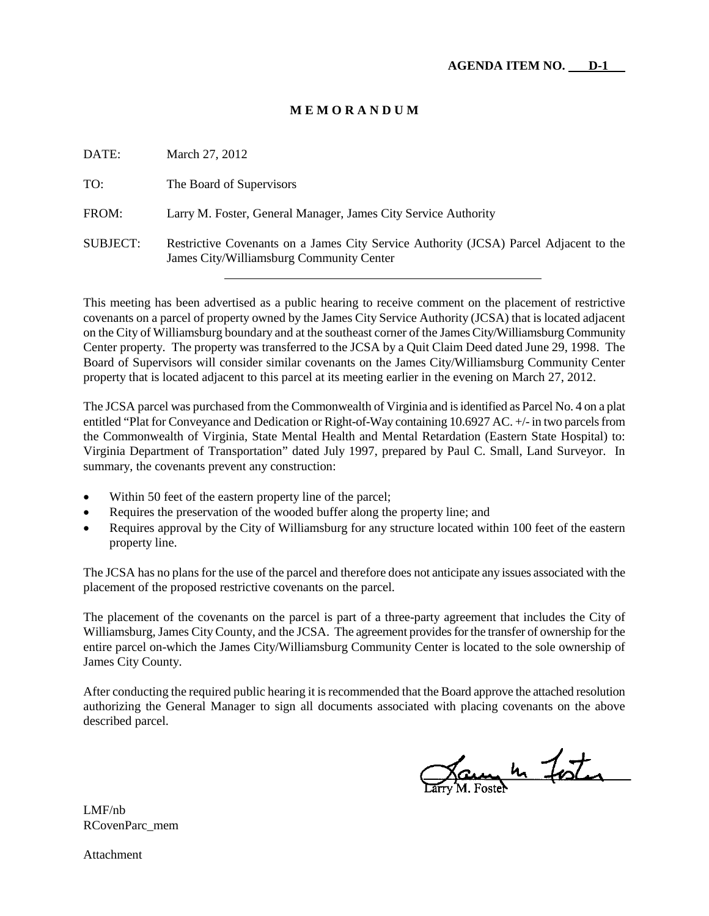#### **M E M O R A N D U M**

| DATE:           | March 27, 2012                                                                                                                    |
|-----------------|-----------------------------------------------------------------------------------------------------------------------------------|
| TO:             | The Board of Supervisors                                                                                                          |
| FROM:           | Larry M. Foster, General Manager, James City Service Authority                                                                    |
| <b>SUBJECT:</b> | Restrictive Covenants on a James City Service Authority (JCSA) Parcel Adjacent to the<br>James City/Williamsburg Community Center |

This meeting has been advertised as a public hearing to receive comment on the placement of restrictive covenants on a parcel of property owned by the James City Service Authority (JCSA) that is located adjacent on the City of Williamsburg boundary and at the southeast corner of the James City/Williamsburg Community Center property. The property was transferred to the JCSA by a Quit Claim Deed dated June 29, 1998. The Board of Supervisors will consider similar covenants on the James City/Williamsburg Community Center property that is located adjacent to this parcel at its meeting earlier in the evening on March 27, 2012.

The JCSA parcel was purchased from the Commonwealth of Virginia and is identified as Parcel No. 4 on a plat entitled "Plat for Conveyance and Dedication or Right-of-Way containing 10.6927 AC. +/-in two parcels from the Commonwealth of Virginia, State Mental Health and Mental Retardation (Eastern State Hospital) to: Virginia Department of Transportation" dated July 1997, prepared by Paul C. Small, Land Surveyor. In summary, the covenants prevent any construction:

- Within 50 feet of the eastern property line of the parcel;
- Requires the preservation of the wooded buffer along the property line; and
- Requires approval by the City of Williamsburg for any structure located within 100 feet of the eastern property line.

The JCSA has no plans for the use of the parcel and therefore does not anticipate any issues associated with the placement of the proposed restrictive covenants on the parcel.

The placement of the covenants on the parcel is part of a three-party agreement that includes the City of Williamsburg, James City County, and the JCSA. The agreement provides for the transfer of ownership for the entire parcel on-which the James City/Williamsburg Community Center is located to the sole ownership of James City County.

After conducting the required public hearing it is recommended that the Board approve the attached resolution authorizing the General Manager to sign all documents associated with placing covenants on the above described parcel.

James 4 Foster

LMF/nb RCovenParc\_mem

Attachment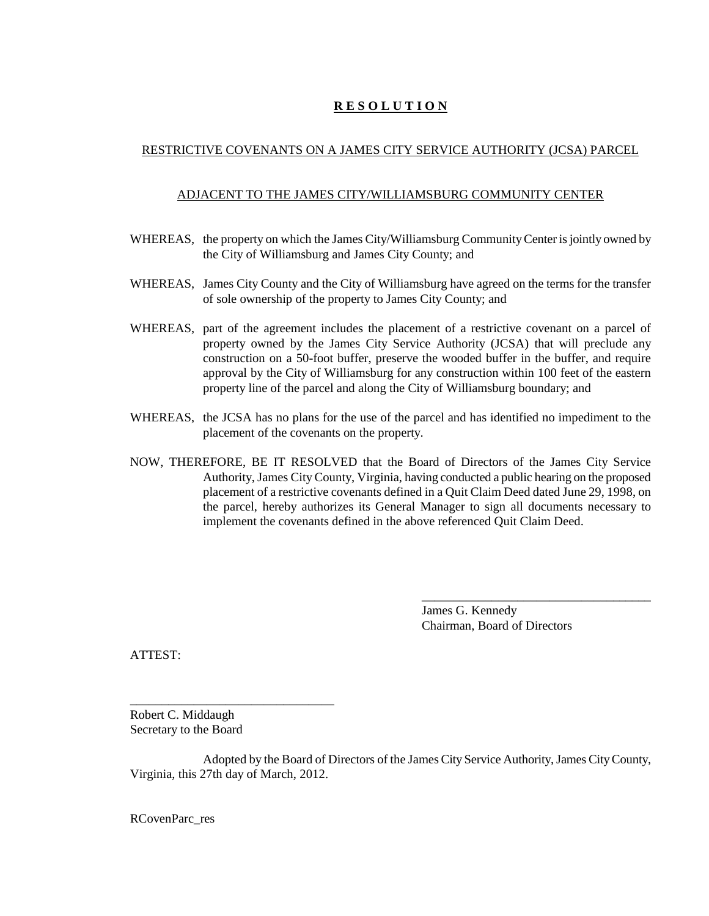# **R E S O L U T I O N**

# RESTRICTIVE COVENANTS ON A JAMES CITY SERVICE AUTHORITY (JCSA) PARCEL

## ADJACENT TO THE JAMES CITY/WILLIAMSBURG COMMUNITY CENTER

- WHEREAS, the property on which the James City/Williamsburg Community Center is jointly owned by the City of Williamsburg and James City County; and
- WHEREAS, James City County and the City of Williamsburg have agreed on the terms for the transfer of sole ownership of the property to James City County; and
- WHEREAS, part of the agreement includes the placement of a restrictive covenant on a parcel of property owned by the James City Service Authority (JCSA) that will preclude any construction on a 50-foot buffer, preserve the wooded buffer in the buffer, and require approval by the City of Williamsburg for any construction within 100 feet of the eastern property line of the parcel and along the City of Williamsburg boundary; and
- WHEREAS, the JCSA has no plans for the use of the parcel and has identified no impediment to the placement of the covenants on the property.
- NOW, THEREFORE, BE IT RESOLVED that the Board of Directors of the James City Service Authority, James City County, Virginia, having conducted a public hearing on the proposed placement of a restrictive covenants defined in a Quit Claim Deed dated June 29, 1998, on the parcel, hereby authorizes its General Manager to sign all documents necessary to implement the covenants defined in the above referenced Quit Claim Deed.

James G. Kennedy Chairman, Board of Directors

\_\_\_\_\_\_\_\_\_\_\_\_\_\_\_\_\_\_\_\_\_\_\_\_\_\_\_\_\_\_\_\_\_\_\_\_

ATTEST:

Robert C. Middaugh Secretary to the Board

\_\_\_\_\_\_\_\_\_\_\_\_\_\_\_\_\_\_\_\_\_\_\_\_\_\_\_\_\_\_\_\_

Adopted by the Board of Directors of the James City Service Authority, James City County, Virginia, this 27th day of March, 2012.

RCovenParc\_res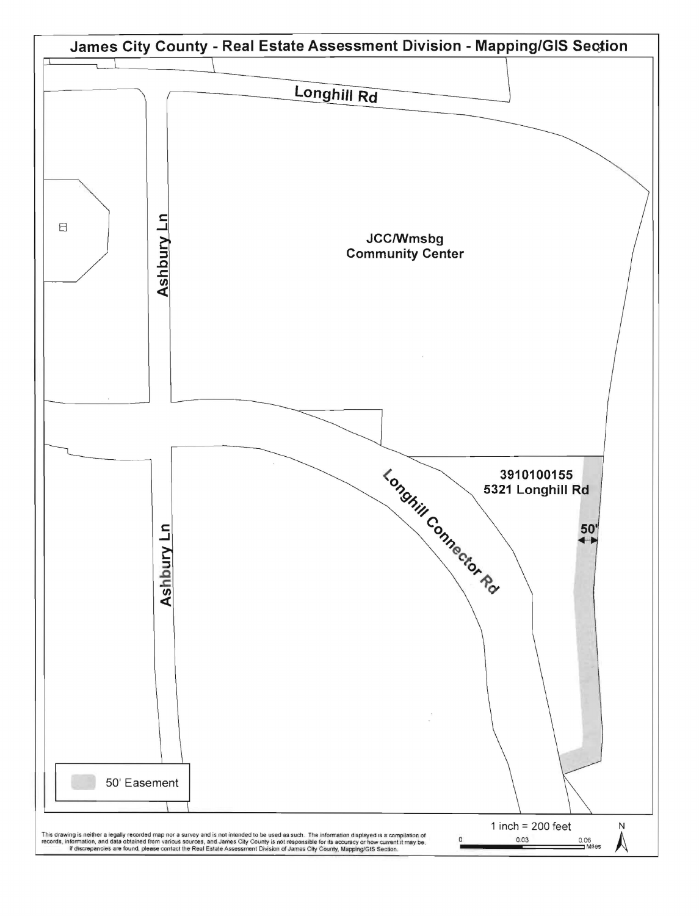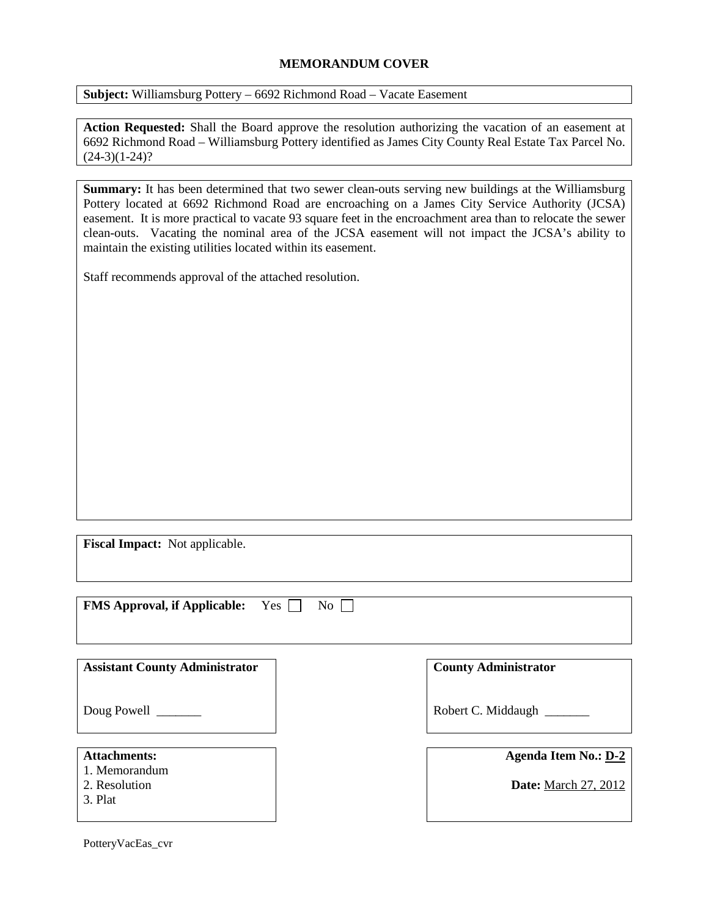## **MEMORANDUM COVER**

**Subject:** Williamsburg Pottery – 6692 Richmond Road – Vacate Easement

**Action Requested:** Shall the Board approve the resolution authorizing the vacation of an easement at 6692 Richmond Road – Williamsburg Pottery identified as James City County Real Estate Tax Parcel No.  $(24-3)(1-24)$ ?

**Summary:** It has been determined that two sewer clean-outs serving new buildings at the Williamsburg Pottery located at 6692 Richmond Road are encroaching on a James City Service Authority (JCSA) easement. It is more practical to vacate 93 square feet in the encroachment area than to relocate the sewer clean-outs. Vacating the nominal area of the JCSA easement will not impact the JCSA's ability to maintain the existing utilities located within its easement.

Staff recommends approval of the attached resolution.

**Fiscal Impact:** Not applicable.

**FMS Approval, if Applicable:** Yes  $\Box$  No  $\Box$ 

**Assistant County Administrator**

Doug Powell

#### **Attachments:**

- 1. Memorandum
- 2. Resolution
- 3. Plat

**County Administrator**

Robert C. Middaugh \_\_\_\_\_\_\_

**Agenda Item No.: D-2**

**Date:** March 27, 2012

PotteryVacEas\_cvr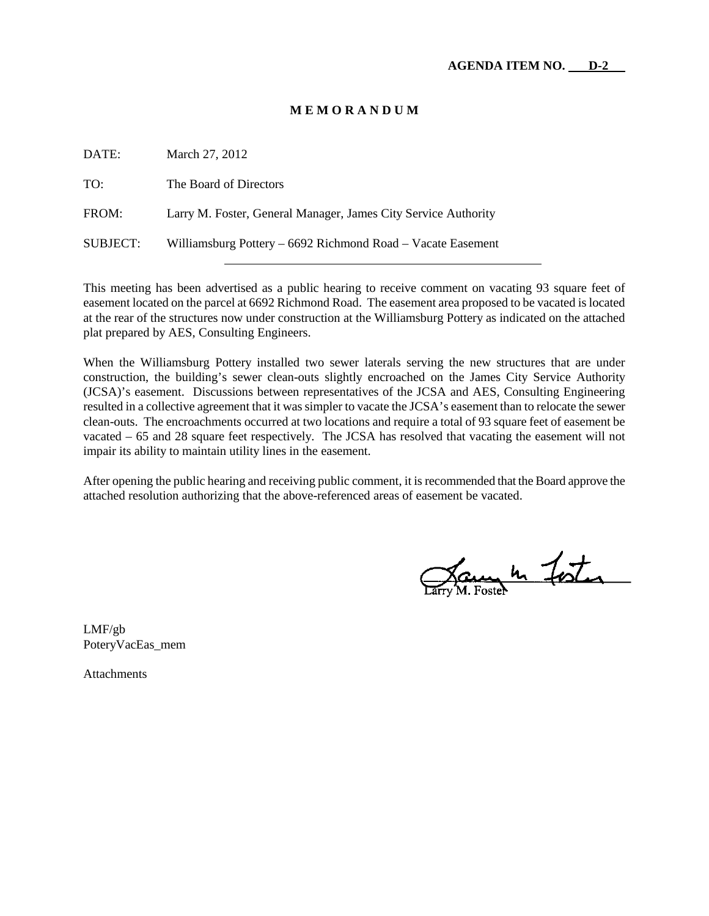### **M E M O R A N D U M**

| DATE:    | March 27, 2012                                                 |
|----------|----------------------------------------------------------------|
| TO:      | The Board of Directors                                         |
| FROM:    | Larry M. Foster, General Manager, James City Service Authority |
| SUBJECT: | Williamsburg Pottery – 6692 Richmond Road – Vacate Easement    |

This meeting has been advertised as a public hearing to receive comment on vacating 93 square feet of easement located on the parcel at 6692 Richmond Road. The easement area proposed to be vacated is located at the rear of the structures now under construction at the Williamsburg Pottery as indicated on the attached plat prepared by AES, Consulting Engineers.

When the Williamsburg Pottery installed two sewer laterals serving the new structures that are under construction, the building's sewer clean-outs slightly encroached on the James City Service Authority (JCSA)'s easement. Discussions between representatives of the JCSA and AES, Consulting Engineering resulted in a collective agreement that it was simpler to vacate the JCSA's easement than to relocate the sewer clean-outs. The encroachments occurred at two locations and require a total of 93 square feet of easement be vacated – 65 and 28 square feet respectively. The JCSA has resolved that vacating the easement will not impair its ability to maintain utility lines in the easement.

After opening the public hearing and receiving public comment, it is recommended that the Board approve the attached resolution authorizing that the above-referenced areas of easement be vacated.

James In Foster

LMF/gb PoteryVacEas\_mem

Attachments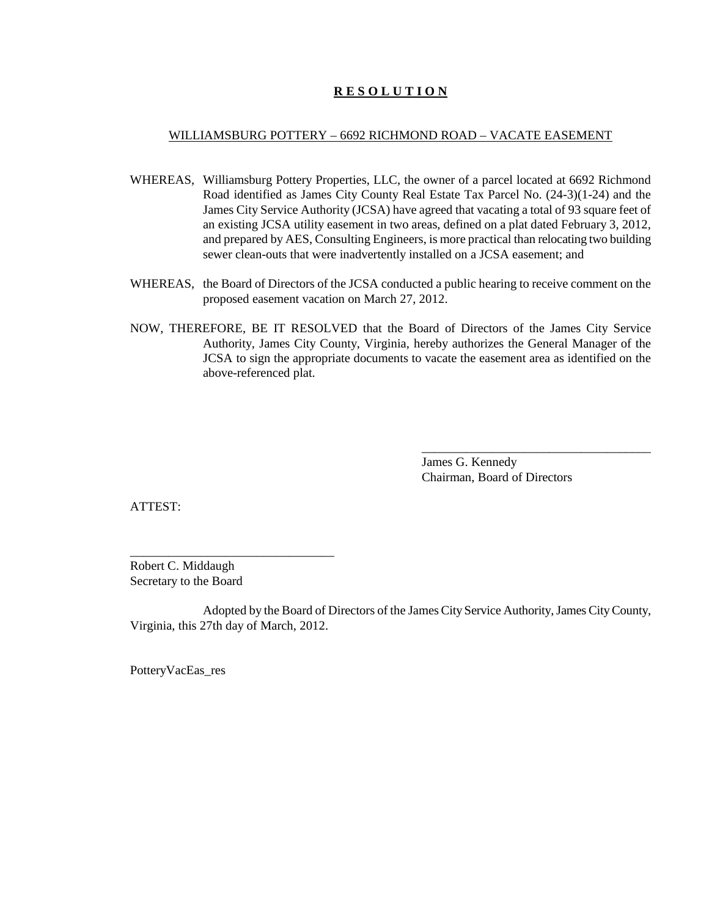## **R E S O L U T I O N**

#### WILLIAMSBURG POTTERY – 6692 RICHMOND ROAD – VACATE EASEMENT

- WHEREAS, Williamsburg Pottery Properties, LLC, the owner of a parcel located at 6692 Richmond Road identified as James City County Real Estate Tax Parcel No. (24-3)(1-24) and the James City Service Authority (JCSA) have agreed that vacating a total of 93 square feet of an existing JCSA utility easement in two areas, defined on a plat dated February 3, 2012, and prepared by AES, Consulting Engineers, is more practical than relocating two building sewer clean-outs that were inadvertently installed on a JCSA easement; and
- WHEREAS, the Board of Directors of the JCSA conducted a public hearing to receive comment on the proposed easement vacation on March 27, 2012.
- NOW, THEREFORE, BE IT RESOLVED that the Board of Directors of the James City Service Authority, James City County, Virginia, hereby authorizes the General Manager of the JCSA to sign the appropriate documents to vacate the easement area as identified on the above-referenced plat.

James G. Kennedy Chairman, Board of Directors

\_\_\_\_\_\_\_\_\_\_\_\_\_\_\_\_\_\_\_\_\_\_\_\_\_\_\_\_\_\_\_\_\_\_\_\_

ATTEST:

Robert C. Middaugh Secretary to the Board

\_\_\_\_\_\_\_\_\_\_\_\_\_\_\_\_\_\_\_\_\_\_\_\_\_\_\_\_\_\_\_\_

Adopted by the Board of Directors of the James City Service Authority, James City County, Virginia, this 27th day of March, 2012.

PotteryVacEas\_res